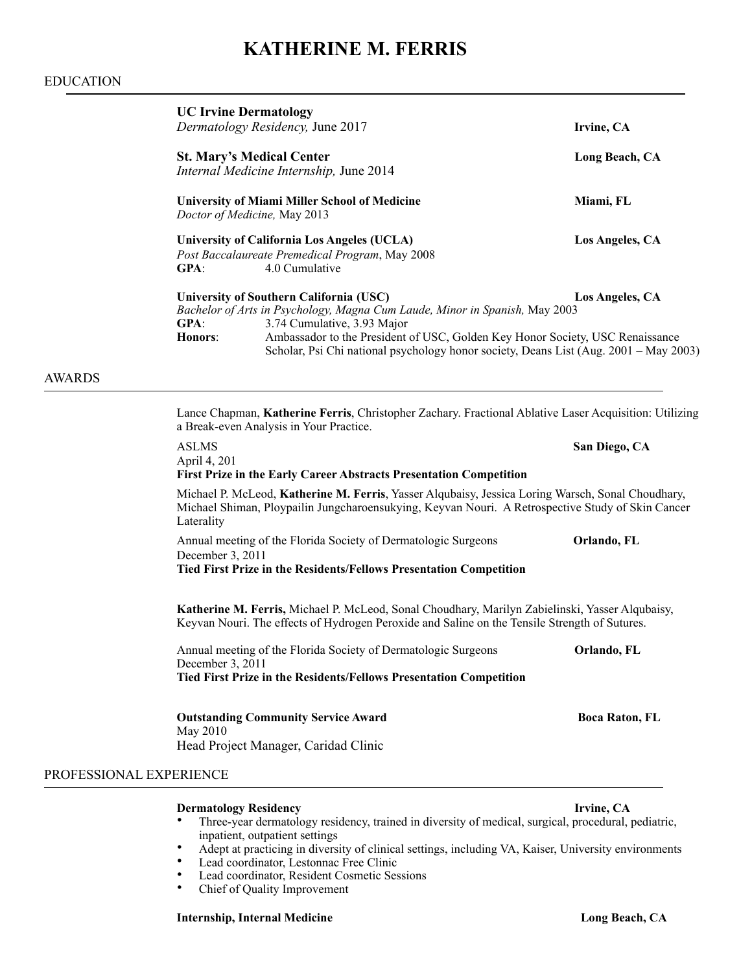# **KATHERINE M. FERRIS**

# EDUCATION

|                         | <b>UC Irvine Dermatology</b><br>Dermatology Residency, June 2017                                                                                                                                                                                                                                                                                          | Irvine, CA                                                                                                                                                                                             |  |
|-------------------------|-----------------------------------------------------------------------------------------------------------------------------------------------------------------------------------------------------------------------------------------------------------------------------------------------------------------------------------------------------------|--------------------------------------------------------------------------------------------------------------------------------------------------------------------------------------------------------|--|
|                         | <b>St. Mary's Medical Center</b><br>Internal Medicine Internship, June 2014                                                                                                                                                                                                                                                                               | Long Beach, CA                                                                                                                                                                                         |  |
|                         | <b>University of Miami Miller School of Medicine</b><br>Doctor of Medicine, May 2013                                                                                                                                                                                                                                                                      | Miami, FL                                                                                                                                                                                              |  |
|                         | <b>University of California Los Angeles (UCLA)</b><br>Post Baccalaureate Premedical Program, May 2008<br>4.0 Cumulative<br>GPA:                                                                                                                                                                                                                           | Los Angeles, CA                                                                                                                                                                                        |  |
|                         | University of Southern California (USC)<br>Bachelor of Arts in Psychology, Magna Cum Laude, Minor in Spanish, May 2003<br>3.74 Cumulative, 3.93 Major<br><b>GPA:</b><br>Honors:<br>Ambassador to the President of USC, Golden Key Honor Society, USC Renaissance<br>Scholar, Psi Chi national psychology honor society, Deans List (Aug. 2001 – May 2003) | Los Angeles, CA                                                                                                                                                                                        |  |
| <b>AWARDS</b>           |                                                                                                                                                                                                                                                                                                                                                           |                                                                                                                                                                                                        |  |
|                         | a Break-even Analysis in Your Practice.                                                                                                                                                                                                                                                                                                                   | Lance Chapman, Katherine Ferris, Christopher Zachary. Fractional Ablative Laser Acquisition: Utilizing                                                                                                 |  |
|                         | <b>ASLMS</b><br>April 4, 201<br><b>First Prize in the Early Career Abstracts Presentation Competition</b>                                                                                                                                                                                                                                                 | San Diego, CA                                                                                                                                                                                          |  |
|                         | Laterality                                                                                                                                                                                                                                                                                                                                                | Michael P. McLeod, Katherine M. Ferris, Yasser Alqubaisy, Jessica Loring Warsch, Sonal Choudhary,<br>Michael Shiman, Ploypailin Jungcharoensukying, Keyvan Nouri. A Retrospective Study of Skin Cancer |  |
|                         | Annual meeting of the Florida Society of Dermatologic Surgeons<br>December 3, 2011<br>Tied First Prize in the Residents/Fellows Presentation Competition                                                                                                                                                                                                  | Orlando, FL                                                                                                                                                                                            |  |
|                         |                                                                                                                                                                                                                                                                                                                                                           | Katherine M. Ferris, Michael P. McLeod, Sonal Choudhary, Marilyn Zabielinski, Yasser Alqubaisy,<br>Keyvan Nouri. The effects of Hydrogen Peroxide and Saline on the Tensile Strength of Sutures.       |  |
|                         | Annual meeting of the Florida Society of Dermatologic Surgeons<br>December 3, 2011<br>Tied First Prize in the Residents/Fellows Presentation Competition                                                                                                                                                                                                  | Orlando, FL                                                                                                                                                                                            |  |
|                         | <b>Outstanding Community Service Award</b><br>May 2010<br>Head Project Manager, Caridad Clinic                                                                                                                                                                                                                                                            | <b>Boca Raton, FL</b>                                                                                                                                                                                  |  |
| PROFESSIONAL EXPERIENCE |                                                                                                                                                                                                                                                                                                                                                           |                                                                                                                                                                                                        |  |
|                         | <b>Dermatology Residency</b>                                                                                                                                                                                                                                                                                                                              | Irvine, CA                                                                                                                                                                                             |  |
|                         |                                                                                                                                                                                                                                                                                                                                                           |                                                                                                                                                                                                        |  |

- Three-year dermatology residency, trained in diversity of medical, surgical, procedural, pediatric, inpatient, outpatient settings
- Adept at practicing in diversity of clinical settings, including VA, Kaiser, University environments<br>• Lead coordinator Lestonnac Free Clinic
- Lead coordinator, Lestonnac Free Clinic
- Lead coordinator, Resident Cosmetic Sessions<br>• Chief of Quality Improvement
	- Chief of Quality Improvement

## **Internship, Internal Medicine Long Beach, CA Long Beach, CA**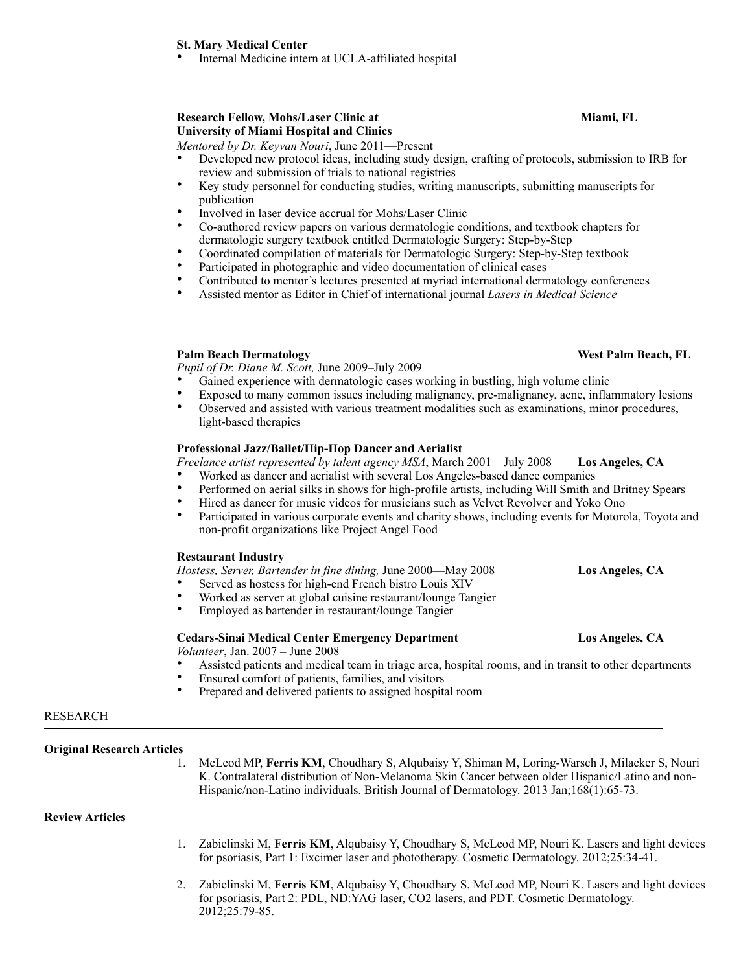## **St. Mary Medical Center**

Internal Medicine intern at UCLA-affiliated hospital

# **Research Fellow, Mohs/Laser Clinic at Miami, FL Miami, FL University of Miami Hospital and Clinics**

*Mentored by Dr. Keyvan Nouri*, June 2011—Present

- Developed new protocol ideas, including study design, crafting of protocols, submission to IRB for review and submission of trials to national registries
- Key study personnel for conducting studies, writing manuscripts, submitting manuscripts for publication
- Involved in laser device accrual for Mohs/Laser Clinic
- Co-authored review papers on various dermatologic conditions, and textbook chapters for dermatologic surgery textbook entitled Dermatologic Surgery: Step-by-Step
- Coordinated compilation of materials for Dermatologic Surgery: Step-by-Step textbook
- Participated in photographic and video documentation of clinical cases
- Contributed to mentor's lectures presented at myriad international dermatology conferences
- Assisted mentor as Editor in Chief of international journal *Lasers in Medical Science*

## **Palm Beach Dermatology Community Community Community Community Community Community Community Community Community Community Community Community Community Community Community Community Community Community Community Communit**

*Pupil of Dr. Diane M. Scott,* June 2009–July 2009

- Gained experience with dermatologic cases working in bustling, high volume clinic
- Exposed to many common issues including malignancy, pre-malignancy, acne, inflammatory lesions
- Observed and assisted with various treatment modalities such as examinations, minor procedures, light-based therapies

## **Professional Jazz/Ballet/Hip-Hop Dancer and Aerialist**

*Freelance artist represented by talent agency MSA*, March 2001—July 2008 **Los Angeles, CA** 

- Worked as dancer and aerialist with several Los Angeles-based dance companies
- Performed on aerial silks in shows for high-profile artists, including Will Smith and Britney Spears
- Hired as dancer for music videos for musicians such as Velvet Revolver and Yoko Ono
- Participated in various corporate events and charity shows, including events for Motorola, Toyota and non-profit organizations like Project Angel Food

## **Restaurant Industry**

*Hostess, Server, Bartender in fine dining,* June 2000—May 2008 **Los Angeles, CA** 

- Served as hostess for high-end French bistro Louis XIV
- Worked as server at global cuisine restaurant/lounge Tangier
- Employed as bartender in restaurant/lounge Tangier

## **Cedars-Sinai Medical Center Emergency Department Los Angeles, CA**

*Volunteer*, Jan. 2007 – June 2008

- Assisted patients and medical team in triage area, hospital rooms, and in transit to other departments
- Ensured comfort of patients, families, and visitors
- Prepared and delivered patients to assigned hospital room

## RESEARCH l

**Original Research Articles** 

1. McLeod MP, **Ferris KM**, Choudhary S, Alqubaisy Y, Shiman M, Loring-Warsch J, Milacker S, Nouri K. Contralateral distribution of Non-Melanoma Skin Cancer between older Hispanic/Latino and non-Hispanic/non-Latino individuals. British Journal of Dermatology. 2013 Jan;168(1):65-73.

# **Review Articles**

- 1. Zabielinski M, **Ferris KM**, Alqubaisy Y, Choudhary S, McLeod MP, Nouri K. Lasers and light devices for psoriasis, Part 1: Excimer laser and phototherapy. Cosmetic Dermatology. 2012;25:34-41.
- 2. Zabielinski M, **Ferris KM**, Alqubaisy Y, Choudhary S, McLeod MP, Nouri K. Lasers and light devices for psoriasis, Part 2: PDL, ND:YAG laser, CO2 lasers, and PDT. Cosmetic Dermatology. 2012;25:79-85.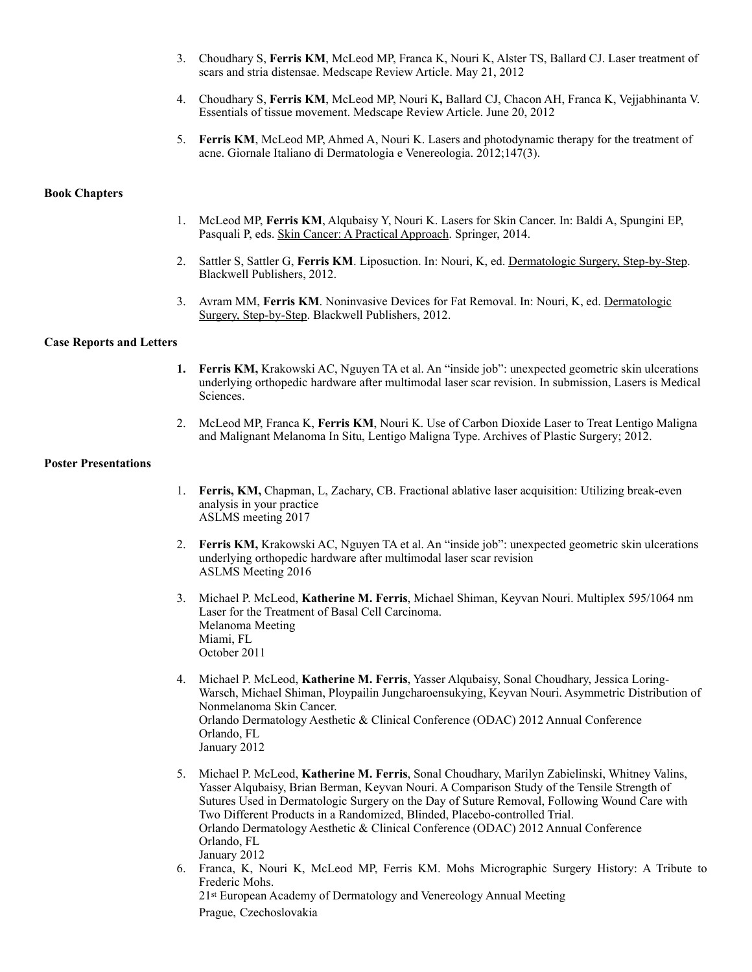- 3. Choudhary S, **Ferris KM**, McLeod MP, Franca K, Nouri K, Alster TS, Ballard CJ. Laser treatment of scars and stria distensae. Medscape Review Article. May 21, 2012
- 4. Choudhary S, **Ferris KM**, McLeod MP, Nouri K**,** Ballard CJ, Chacon AH, Franca K, Vejjabhinanta V. Essentials of tissue movement. Medscape Review Article. June 20, 2012
- 5. **Ferris KM**, McLeod MP, Ahmed A, Nouri K. Lasers and photodynamic therapy for the treatment of acne. Giornale Italiano di Dermatologia e Venereologia. 2012;147(3).

## **Book Chapters**

- 1. McLeod MP, **Ferris KM**, Alqubaisy Y, Nouri K. Lasers for Skin Cancer. In: Baldi A, Spungini EP, Pasquali P, eds. Skin Cancer: A Practical Approach. Springer, 2014.
- 2. Sattler S, Sattler G, **Ferris KM**. Liposuction. In: Nouri, K, ed. Dermatologic Surgery, Step-by-Step. Blackwell Publishers, 2012.
- 3. Avram MM, **Ferris KM**. Noninvasive Devices for Fat Removal. In: Nouri, K, ed. Dermatologic Surgery, Step-by-Step. Blackwell Publishers, 2012.

## **Case Reports and Letters**

- **1. Ferris KM,** Krakowski AC, Nguyen TA et al. An "inside job": unexpected geometric skin ulcerations underlying orthopedic hardware after multimodal laser scar revision. In submission, Lasers is Medical Sciences.
- 2. McLeod MP, Franca K, **Ferris KM**, Nouri K. Use of Carbon Dioxide Laser to Treat Lentigo Maligna and Malignant Melanoma In Situ, Lentigo Maligna Type. Archives of Plastic Surgery; 2012.

## **Poster Presentations**

- 1. **Ferris, KM,** Chapman, L, Zachary, CB. Fractional ablative laser acquisition: Utilizing break-even analysis in your practice ASLMS meeting 2017
- 2. **Ferris KM,** Krakowski AC, Nguyen TA et al. An "inside job": unexpected geometric skin ulcerations underlying orthopedic hardware after multimodal laser scar revision ASLMS Meeting 2016
- 3. Michael P. McLeod, **Katherine M. Ferris**, Michael Shiman, Keyvan Nouri. Multiplex 595/1064 nm Laser for the Treatment of Basal Cell Carcinoma. Melanoma Meeting Miami, FL October 2011
- 4. Michael P. McLeod, **Katherine M. Ferris**, Yasser Alqubaisy, Sonal Choudhary, Jessica Loring-Warsch, Michael Shiman, Ploypailin Jungcharoensukying, Keyvan Nouri. Asymmetric Distribution of Nonmelanoma Skin Cancer. Orlando Dermatology Aesthetic & Clinical Conference (ODAC) 2012 Annual Conference Orlando, FL January 2012
- 5. Michael P. McLeod, **Katherine M. Ferris**, Sonal Choudhary, Marilyn Zabielinski, Whitney Valins, Yasser Alqubaisy, Brian Berman, Keyvan Nouri. A Comparison Study of the Tensile Strength of Sutures Used in Dermatologic Surgery on the Day of Suture Removal, Following Wound Care with Two Different Products in a Randomized, Blinded, Placebo-controlled Trial. Orlando Dermatology Aesthetic & Clinical Conference (ODAC) 2012 Annual Conference Orlando, FL January 2012
- 6. Franca, K, Nouri K, McLeod MP, Ferris KM. Mohs Micrographic Surgery History: A Tribute to Frederic Mohs. 21st European Academy of Dermatology and Venereology Annual Meeting

Prague, Czechoslovakia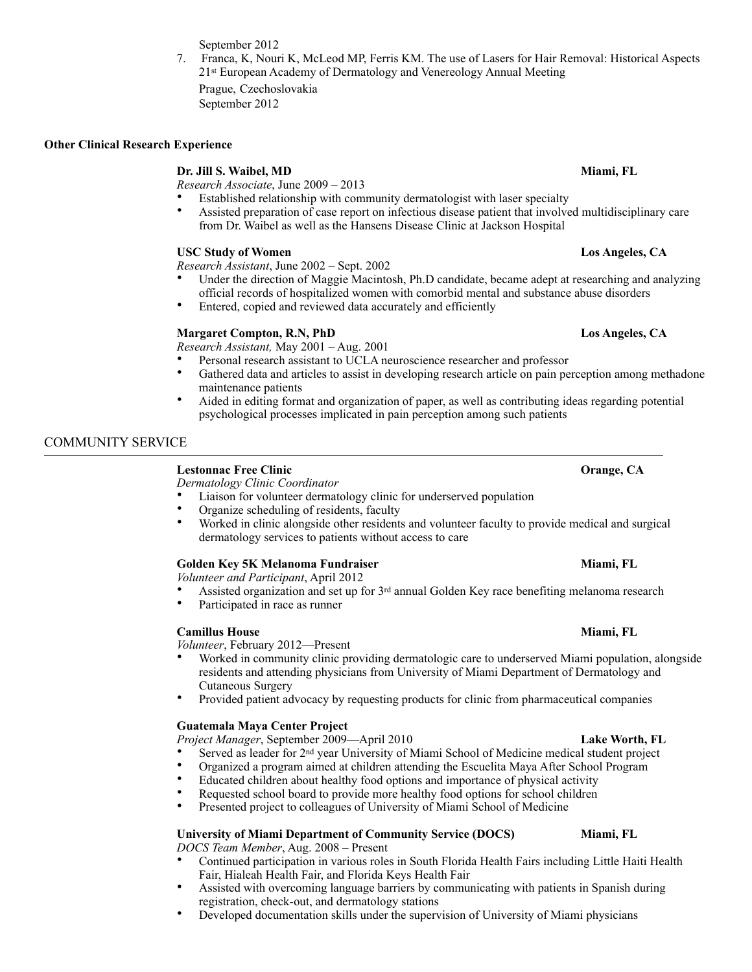September 2012

7. Franca, K, Nouri K, McLeod MP, Ferris KM. The use of Lasers for Hair Removal: Historical Aspects 21st European Academy of Dermatology and Venereology Annual Meeting Prague, Czechoslovakia

September 2012

## **Other Clinical Research Experience**

## **Dr. Jill S. Waibel, MD Miami, FL Miami, FL**

*Research Associate*, June 2009 – 2013

- Established relationship with community dermatologist with laser specialty
- Assisted preparation of case report on infectious disease patient that involved multidisciplinary care from Dr. Waibel as well as the Hansens Disease Clinic at Jackson Hospital

## **USC Study of Women Los Angeles, CA**

*Research Assistant*, June 2002 – Sept. 2002

- Under the direction of Maggie Macintosh, Ph.D candidate, became adept at researching and analyzing official records of hospitalized women with comorbid mental and substance abuse disorders
- Entered, copied and reviewed data accurately and efficiently

## **Margaret Compton, R.N, PhD** Los Angeles, CA

*Research Assistant,* May 2001 – Aug. 2001

- Personal research assistant to UCLA neuroscience researcher and professor
- Gathered data and articles to assist in developing research article on pain perception among methadone maintenance patients
- Aided in editing format and organization of paper, as well as contributing ideas regarding potential psychological processes implicated in pain perception among such patients

## COMMUNITY SERVICE  $\overline{a}$

## **Lestonnac Free Clinic Orange, CA**

*Dermatology Clinic Coordinator* 

- Liaison for volunteer dermatology clinic for underserved population
- Organize scheduling of residents, faculty
- Worked in clinic alongside other residents and volunteer faculty to provide medical and surgical dermatology services to patients without access to care

## Golden Key 5K Melanoma Fundraiser **Miami, FL** Miami, FL

*Volunteer and Participant*, April 2012

- Assisted organization and set up for 3rd annual Golden Key race benefiting melanoma research
- Participated in race as runner

## **Camillus House Miami, FL 2006**

*Volunteer*, February 2012—Present

- Worked in community clinic providing dermatologic care to underserved Miami population, alongside residents and attending physicians from University of Miami Department of Dermatology and Cutaneous Surgery
- Provided patient advocacy by requesting products for clinic from pharmaceutical companies

## **Guatemala Maya Center Project**

*Project Manager*, September 2009—April 2010 **Lake Worth, FL** 

- Served as leader for 2nd year University of Miami School of Medicine medical student project
- Organized a program aimed at children attending the Escuelita Maya After School Program
- Educated children about healthy food options and importance of physical activity
- Requested school board to provide more healthy food options for school children
- Presented project to colleagues of University of Miami School of Medicine

# **University of Miami Department of Community Service (DOCS) Miami, FL**

*DOCS Team Member*, Aug. 2008 – Present

- Continued participation in various roles in South Florida Health Fairs including Little Haiti Health Fair, Hialeah Health Fair, and Florida Keys Health Fair
- Assisted with overcoming language barriers by communicating with patients in Spanish during registration, check-out, and dermatology stations
- Developed documentation skills under the supervision of University of Miami physicians